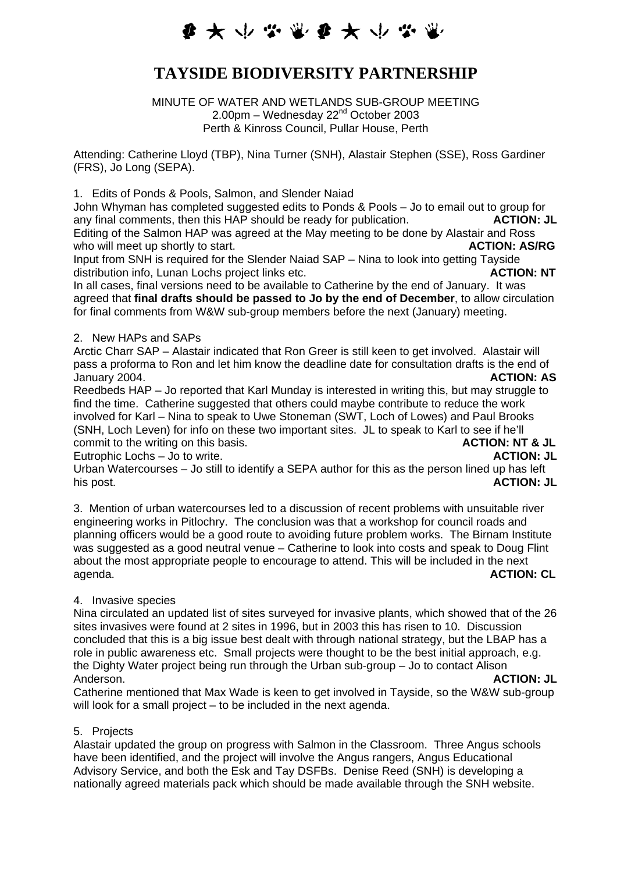# **まよ小な電影女人な電**

## **TAYSIDE BIODIVERSITY PARTNERSHIP**

MINUTE OF WATER AND WETLANDS SUB-GROUP MEETING 2.00pm – Wednesday  $22<sup>nd</sup>$  October 2003 Perth & Kinross Council, Pullar House, Perth

Attending: Catherine Lloyd (TBP), Nina Turner (SNH), Alastair Stephen (SSE), Ross Gardiner (FRS), Jo Long (SEPA).

1. Edits of Ponds & Pools, Salmon, and Slender Naiad

John Whyman has completed suggested edits to Ponds & Pools – Jo to email out to group for any final comments, then this HAP should be ready for publication. **ACTION: JL**  Editing of the Salmon HAP was agreed at the May meeting to be done by Alastair and Ross who will meet up shortly to start. **ACTION: AS/RG ACTION: AS/RG** 

Input from SNH is required for the Slender Naiad SAP – Nina to look into getting Tayside distribution info, Lunan Lochs project links etc. **ACTION: NT**

In all cases, final versions need to be available to Catherine by the end of January. It was agreed that **final drafts should be passed to Jo by the end of December**, to allow circulation for final comments from W&W sub-group members before the next (January) meeting.

#### 2. New HAPs and SAPs

Arctic Charr SAP – Alastair indicated that Ron Greer is still keen to get involved. Alastair will pass a proforma to Ron and let him know the deadline date for consultation drafts is the end of January 2004. **ACTION: AS**

Reedbeds HAP – Jo reported that Karl Munday is interested in writing this, but may struggle to find the time. Catherine suggested that others could maybe contribute to reduce the work involved for Karl – Nina to speak to Uwe Stoneman (SWT, Loch of Lowes) and Paul Brooks (SNH, Loch Leven) for info on these two important sites. JL to speak to Karl to see if he'll commit to the writing on this basis. **ACTION: NT & JL** 

Eutrophic Lochs – Jo to write. **ACTION: JL**

Urban Watercourses – Jo still to identify a SEPA author for this as the person lined up has left his post. **ACTION: JL**

3. Mention of urban watercourses led to a discussion of recent problems with unsuitable river engineering works in Pitlochry. The conclusion was that a workshop for council roads and planning officers would be a good route to avoiding future problem works. The Birnam Institute was suggested as a good neutral venue – Catherine to look into costs and speak to Doug Flint about the most appropriate people to encourage to attend. This will be included in the next agenda. **ACTION: CL**

### 4. Invasive species

Nina circulated an updated list of sites surveyed for invasive plants, which showed that of the 26 sites invasives were found at 2 sites in 1996, but in 2003 this has risen to 10. Discussion concluded that this is a big issue best dealt with through national strategy, but the LBAP has a role in public awareness etc. Small projects were thought to be the best initial approach, e.g. the Dighty Water project being run through the Urban sub-group – Jo to contact Alison Anderson. **ACTION: JL** 

Catherine mentioned that Max Wade is keen to get involved in Tayside, so the W&W sub-group will look for a small project – to be included in the next agenda.

#### 5. Projects

Alastair updated the group on progress with Salmon in the Classroom. Three Angus schools have been identified, and the project will involve the Angus rangers, Angus Educational Advisory Service, and both the Esk and Tay DSFBs. Denise Reed (SNH) is developing a nationally agreed materials pack which should be made available through the SNH website.